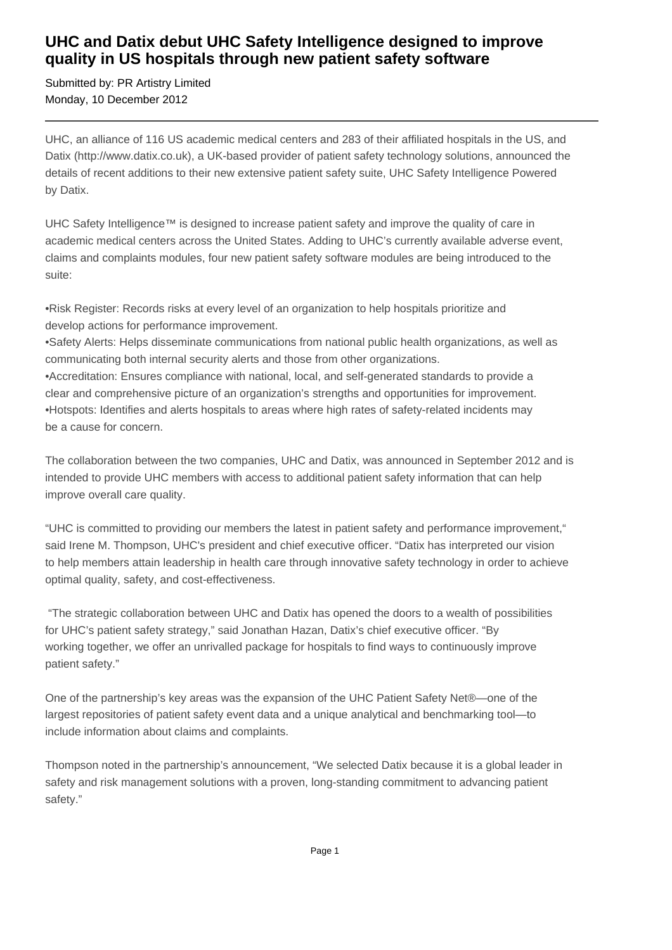## **UHC and Datix debut UHC Safety Intelligence designed to improve quality in US hospitals through new patient safety software**

Submitted by: PR Artistry Limited Monday, 10 December 2012

UHC, an alliance of 116 US academic medical centers and 283 of their affiliated hospitals in the US, and Datix (http://www.datix.co.uk), a UK-based provider of patient safety technology solutions, announced the details of recent additions to their new extensive patient safety suite, UHC Safety Intelligence Powered by Datix.

UHC Safety Intelligence™ is designed to increase patient safety and improve the quality of care in academic medical centers across the United States. Adding to UHC's currently available adverse event, claims and complaints modules, four new patient safety software modules are being introduced to the suite:

• Risk Register: Records risks at every level of an organization to help hospitals prioritize and develop actions for performance improvement.

• Safety Alerts: Helps disseminate communications from national public health organizations, as well as communicating both internal security alerts and those from other organizations.

• Accreditation: Ensures compliance with national, local, and self-generated standards to provide a clear and comprehensive picture of an organization's strengths and opportunities for improvement.

• Hotspots: Identifies and alerts hospitals to areas where high rates of safety-related incidents may be a cause for concern.

The collaboration between the two companies, UHC and Datix, was announced in September 2012 and is intended to provide UHC members with access to additional patient safety information that can help improve overall care quality.

"UHC is committed to providing our members the latest in patient safety and performance improvement," said Irene M. Thompson, UHC's president and chief executive officer. "Datix has interpreted our vision to help members attain leadership in health care through innovative safety technology in order to achieve optimal quality, safety, and cost-effectiveness.

 "The strategic collaboration between UHC and Datix has opened the doors to a wealth of possibilities for UHC's patient safety strategy," said Jonathan Hazan, Datix's chief executive officer. "By working together, we offer an unrivalled package for hospitals to find ways to continuously improve patient safety."

One of the partnership's key areas was the expansion of the UHC Patient Safety Net®—one of the largest repositories of patient safety event data and a unique analytical and benchmarking tool—to include information about claims and complaints.

Thompson noted in the partnership's announcement, "We selected Datix because it is a global leader in safety and risk management solutions with a proven, long-standing commitment to advancing patient safety."